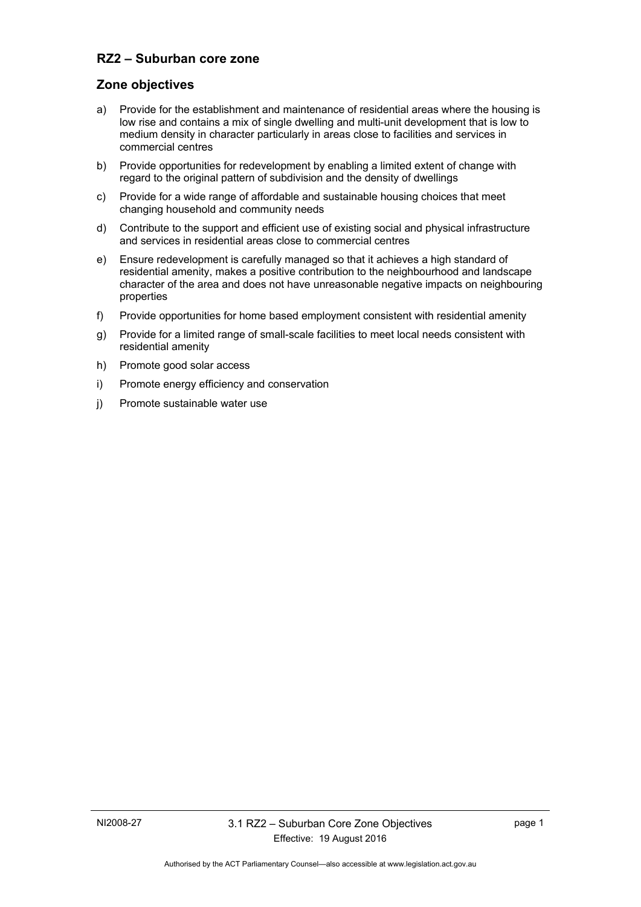# **RZ2 – Suburban core zone**

## **Zone objectives**

- a) Provide for the establishment and maintenance of residential areas where the housing is low rise and contains a mix of single dwelling and multi-unit development that is low to medium density in character particularly in areas close to facilities and services in commercial centres
- b) Provide opportunities for redevelopment by enabling a limited extent of change with regard to the original pattern of subdivision and the density of dwellings
- c) Provide for a wide range of affordable and sustainable housing choices that meet changing household and community needs
- d) Contribute to the support and efficient use of existing social and physical infrastructure and services in residential areas close to commercial centres
- e) Ensure redevelopment is carefully managed so that it achieves a high standard of residential amenity, makes a positive contribution to the neighbourhood and landscape character of the area and does not have unreasonable negative impacts on neighbouring properties
- f) Provide opportunities for home based employment consistent with residential amenity
- g) Provide for a limited range of small-scale facilities to meet local needs consistent with residential amenity
- h) Promote good solar access
- i) Promote energy efficiency and conservation
- j) Promote sustainable water use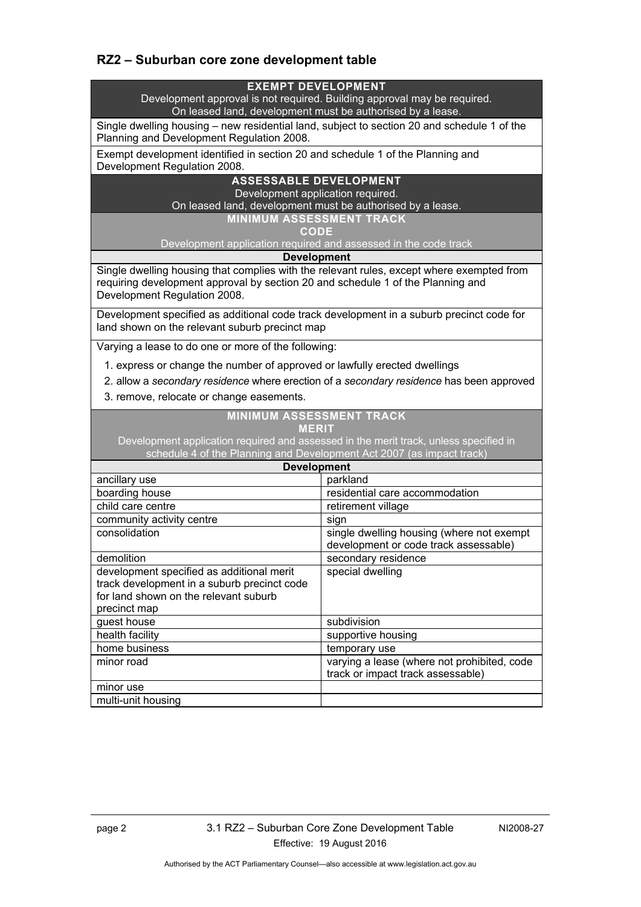# **RZ2 – Suburban core zone development table**

#### **EXEMPT DEVELOPMENT**

Development approval is not required. Building approval may be required. On leased land, development must be authorised by a lease.

Single dwelling housing – new residential land, subject to section 20 and schedule 1 of the Planning and Development Regulation 2008.

Exempt development identified in section 20 and schedule 1 of the Planning and Development Regulation 2008.

### **ASSESSABLE DEVELOPMENT**

Development application required.

On leased land, development must be authorised by a lease.

**MINIMUM ASSESSMENT TRACK** 

**CODE** 

Development application required and assessed in the code track

#### **Development**

Single dwelling housing that complies with the relevant rules, except where exempted from requiring development approval by section 20 and schedule 1 of the Planning and Development Regulation 2008.

Development specified as additional code track development in a suburb precinct code for land shown on the relevant suburb precinct map

Varying a lease to do one or more of the following:

1. express or change the number of approved or lawfully erected dwellings

2. allow a *secondary residence* where erection of a *secondary residence* has been approved

3. remove, relocate or change easements.

### **MINIMUM ASSESSMENT TRACK MERIT**

Development application required and assessed in the merit track, unless specified in schedule 4 of the Planning and Development Act 2007 (as impact track)

| <b>Development</b>                                                                                                                                |                                                                                    |  |
|---------------------------------------------------------------------------------------------------------------------------------------------------|------------------------------------------------------------------------------------|--|
| ancillary use                                                                                                                                     | parkland                                                                           |  |
| boarding house                                                                                                                                    | residential care accommodation                                                     |  |
| child care centre                                                                                                                                 | retirement village                                                                 |  |
| community activity centre                                                                                                                         | sign                                                                               |  |
| consolidation                                                                                                                                     | single dwelling housing (where not exempt<br>development or code track assessable) |  |
| demolition                                                                                                                                        | secondary residence                                                                |  |
| development specified as additional merit<br>track development in a suburb precinct code<br>for land shown on the relevant suburb<br>precinct map | special dwelling                                                                   |  |
| guest house                                                                                                                                       | subdivision                                                                        |  |
| health facility                                                                                                                                   | supportive housing                                                                 |  |
| home business                                                                                                                                     | temporary use                                                                      |  |
| minor road                                                                                                                                        | varying a lease (where not prohibited, code<br>track or impact track assessable)   |  |
| minor use                                                                                                                                         |                                                                                    |  |
| multi-unit housing                                                                                                                                |                                                                                    |  |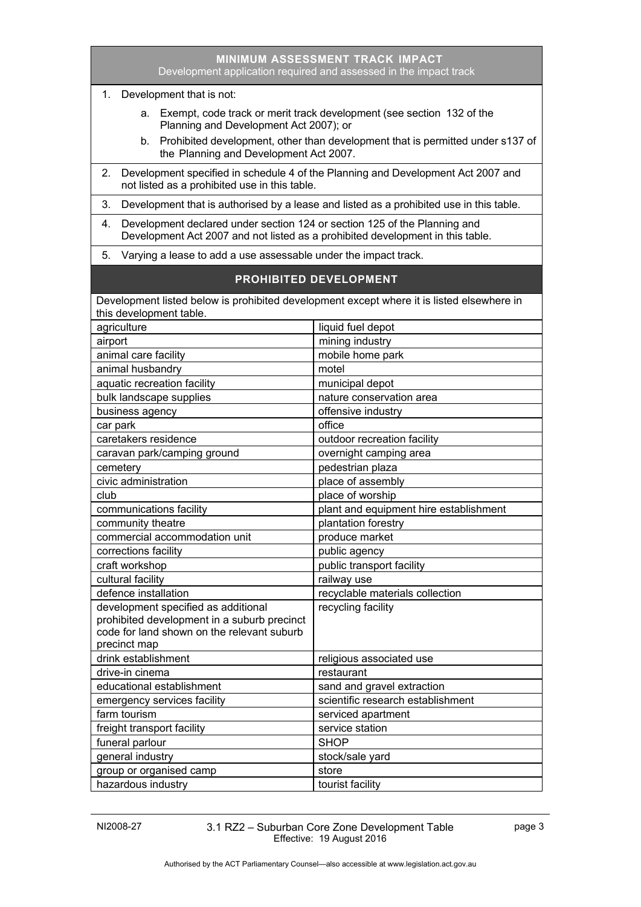| Development application required and assessed in the impact track                                                                                                 |                                                                                                                    |  |
|-------------------------------------------------------------------------------------------------------------------------------------------------------------------|--------------------------------------------------------------------------------------------------------------------|--|
| Development that is not:<br>1.                                                                                                                                    |                                                                                                                    |  |
|                                                                                                                                                                   | a. Exempt, code track or merit track development (see section 132 of the<br>Planning and Development Act 2007); or |  |
| Prohibited development, other than development that is permitted under s137 of<br>b.<br>the Planning and Development Act 2007.                                    |                                                                                                                    |  |
| Development specified in schedule 4 of the Planning and Development Act 2007 and<br>2.<br>not listed as a prohibited use in this table.                           |                                                                                                                    |  |
| 3.<br>Development that is authorised by a lease and listed as a prohibited use in this table.                                                                     |                                                                                                                    |  |
| Development declared under section 124 or section 125 of the Planning and<br>4.<br>Development Act 2007 and not listed as a prohibited development in this table. |                                                                                                                    |  |
| 5.                                                                                                                                                                | Varying a lease to add a use assessable under the impact track.                                                    |  |
| <b>PROHIBITED DEVELOPMENT</b>                                                                                                                                     |                                                                                                                    |  |
| Development listed below is prohibited development except where it is listed elsewhere in                                                                         |                                                                                                                    |  |
| this development table.                                                                                                                                           |                                                                                                                    |  |
| agriculture                                                                                                                                                       | liquid fuel depot                                                                                                  |  |
| airport                                                                                                                                                           | mining industry                                                                                                    |  |
| animal care facility                                                                                                                                              | mobile home park                                                                                                   |  |
| animal husbandry                                                                                                                                                  | motel                                                                                                              |  |
| aquatic recreation facility                                                                                                                                       | municipal depot                                                                                                    |  |
| bulk landscape supplies                                                                                                                                           | nature conservation area                                                                                           |  |
| business agency                                                                                                                                                   | offensive industry                                                                                                 |  |
| car park                                                                                                                                                          | office                                                                                                             |  |
| caretakers residence                                                                                                                                              | outdoor recreation facility                                                                                        |  |
| caravan park/camping ground                                                                                                                                       | overnight camping area                                                                                             |  |
| cemetery                                                                                                                                                          | pedestrian plaza                                                                                                   |  |
| civic administration                                                                                                                                              | place of assembly                                                                                                  |  |
| club                                                                                                                                                              | place of worship                                                                                                   |  |
| communications facility                                                                                                                                           | plant and equipment hire establishment                                                                             |  |
| community theatre                                                                                                                                                 | plantation forestry                                                                                                |  |
| commercial accommodation unit                                                                                                                                     | produce market                                                                                                     |  |
| corrections facility                                                                                                                                              | public agency                                                                                                      |  |
| craft workshop                                                                                                                                                    | public transport facility                                                                                          |  |
| cultural facility                                                                                                                                                 | railway use                                                                                                        |  |
| defence installation                                                                                                                                              | recyclable materials collection                                                                                    |  |
| development specified as additional                                                                                                                               | recycling facility                                                                                                 |  |
| prohibited development in a suburb precinct                                                                                                                       |                                                                                                                    |  |
| code for land shown on the relevant suburb                                                                                                                        |                                                                                                                    |  |
| precinct map                                                                                                                                                      |                                                                                                                    |  |
| drink establishment                                                                                                                                               | religious associated use                                                                                           |  |
| drive-in cinema                                                                                                                                                   | restaurant                                                                                                         |  |
| educational establishment                                                                                                                                         | sand and gravel extraction                                                                                         |  |
| emergency services facility                                                                                                                                       | scientific research establishment                                                                                  |  |
| farm tourism                                                                                                                                                      | serviced apartment                                                                                                 |  |
| freight transport facility                                                                                                                                        | service station                                                                                                    |  |
| funeral parlour                                                                                                                                                   | <b>SHOP</b>                                                                                                        |  |
| general industry                                                                                                                                                  | stock/sale yard                                                                                                    |  |
| group or organised camp                                                                                                                                           | store                                                                                                              |  |
| hazardous industry                                                                                                                                                | tourist facility                                                                                                   |  |

**MINIMUM ASSESSMENT TRACK IMPACT**